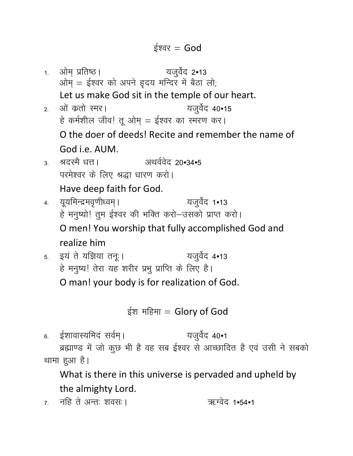1. ओम् प्रतिष्ठ। यजुर्वेद 2•13 ओम् = ईश्वर को अपने इ़दय मन्दिर में बैठा लो; Let us make God sit in the temple of our heart. यजुर्वेद 40•15 2. ओं कतो स्मर। हे कर्मशील जीव! तू ओम् = ईश्वर का स्मरण कर। O the doer of deeds! Recite and remember the name of God i.e. AUM. 3. श्रदस्मै धत्त। 31थर्ववेद 20.34.5 परमेश्वर के लिए श्रद्धा धारण करो। Have deep faith for God. 4. यूयमिन्द्रमवृणीध्वम् । यजुर्वेद 1•13 हे मनुष्यो! तुम ईश्वर की भक्ति करो-उसको प्राप्त करो। O men! You worship that fully accomplished God and realize him 5. इयं ते यज्ञिया तनू । यजुर्वेद 4•13 हे मनुष्य! तेरा यह शरीर प्रभु प्राप्ति के लिए है। O man! your body is for realization of God. ईश महिमा = Glory of God

6. ईशावास्यमिदं सर्वम् । यजुर्वेद 40•1 ब्रह्माण्ड में जो कुछ भी है वह सब ईश्वर से आच्छादित है एवं उसी ने सबको थामा हुआ है।

What is there in this universe is pervaded and upheld by the almighty Lord.

7. नहि ते अन्तः शवसः । ऋग्वेद 1.54.1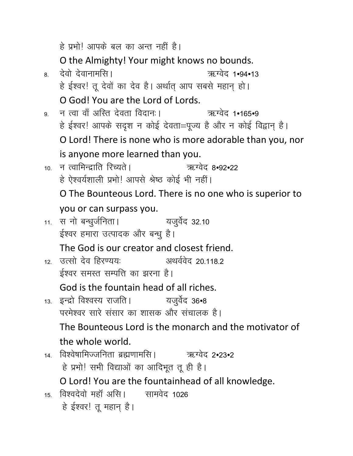हे प्रभो! आपके बल का अन्त नहीं है। O the Almighty! Your might knows no bounds. 8- nsoks nsokukeflA \_Xosn 1Û94Û13 हे ईश्वर! तू देवों का देव है। अर्थात् आप सबसे महान् हो। O God! You are the Lord of Lords. 9 न त्वा वॉं अस्ति देवता विदानः । ऋग्वेद 1•165•9 हे ईश्वर! आपके सदृश न कोई देवता=पूज्य है और न कोई विद्वान् है। O Lord! There is none who is more adorable than you, nor is anyone more learned than you. 10. न त्वामिन्द्राति रिच्यते | ऋग्वेद 8•92•22 हे ऐश्वर्यशाली प्रभो! आपसे श्रेष्ठ कोई भी नहीं। O The Bounteous Lord. There is no one who is superior to you or can surpass you. 11. स नो बन्धुर्जनिता। यजुर्वेद 32.10 ईश्वर हमारा उत्पादक और बन्ध है। The God is our creator and closest friend.  $12$  उत्सो देव हिरण्यय: अथर्ववेद २० ११८२ ईश्वर समस्त सम्पत्ति का झरना है। God is the fountain head of all riches. 13. इन्द्रो विश्वस्य राजति । यजुर्वेद 36•8 परमेश्वर सारे संसार का शासक और संचालक है। The Bounteous Lord is the monarch and the motivator of the whole world.  $_{14}$  विश्वेषामिज्जनिता ब्रह्मणामसि । ऋग्वेद २•२३•२ हे प्रभो! सभी विद्याओं का आदिभूत तू ही है। O Lord! You are the fountainhead of all knowledge.  $15$  विश्वदेवो महाँ असि । सामवेद 1026 हे ईश्वर! तू महान् है।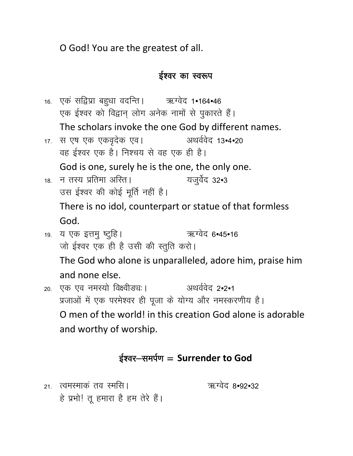O God! You are the greatest of all.

### ईश्वर का स्वरूप

16. एकं सद्विप्रा बहुधा वदन्ति । ऋग्वेद 1•164•46 एक ईश्वर को विद्वान् लोग अनेक नामों से पुकारते हैं। The scholars invoke the one God by different names. 17. स एष एक एकवृदेक एव। अथर्ववेद 13•4•20 वह ईश्वर एक है। निश्चय से वह एक ही है। God is one, surely he is the one, the only one. 18. न तस्य प्रतिमा अस्ति । यजुर्वेद 32•3 उस ईश्वर की कोई मूर्ति नहीं है। There is no idol, counterpart or statue of that formless God. 19. य एक इत्तमु ष्टुहि। ऋग्वेद 6.45.16 जो ईश्वर एक ही है उसी की स्तुति करो। The God who alone is unparalleled, adore him, praise him and none else. 20. एक एव नमस्यो विक्ष्वीड्यः । अथर्ववेद 2.2.1 प्रजाओं में एक परमेश्वर ही पूजा के योग्य और नमस्करणीय है। O men of the world! in this creation God alone is adorable

and worthy of worship.

## ईश्वर-समर्पण = Surrender to God

<sub>21</sub> त्वमस्माकं तव स्मसि । हे प्रभो! तू हमारा है हम तेरे हैं। ऋग्वेद 8.92.32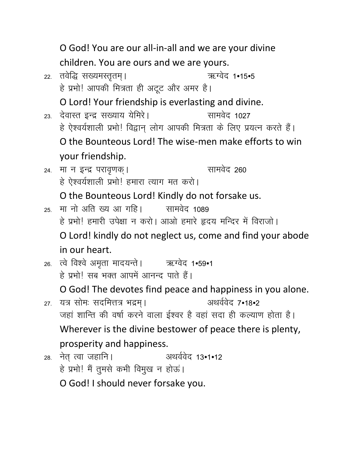O God! You are our all-in-all and we are your divine children. You are ours and we are yours. ऋग्वेद 1•15•5 22. तवेद्धि सख्यमस्तृतम् । हे प्रभो! आपकी मित्रता ही अटूट और अमर है। O Lord! Your friendship is everlasting and divine. 23. देवास्त इन्द्र संख्याय येमिरे। सामवेद 1027 हे ऐश्वर्यशाली प्रभो! विद्वान लोग आपकी मित्रता के लिए प्रयत्न करते हैं। O the Bounteous Lord! The wise-men make efforts to win your friendship. सामवेद 260 24. मा न इन्द्र परावृणक् । हे ऐश्वर्यशाली प्रभो! हमारा त्याग मत करो। O the Bounteous Lord! Kindly do not forsake us. 25. मा नो अति ख्य आ गहि। सामवेद 1089 हे प्रभो! हमारी उपेक्षा न करो। आओ हमारे हृदय मन्दिर में विराजो। O Lord! kindly do not neglect us, come and find your abode in our heart. 26. त्वे विश्वे अमृता मादयन्ते | अद्यग्वेद 1.59.1 हे प्रभो। सब भक्त आपमें आनन्द पाते हैं। O God! The devotes find peace and happiness in you alone. अथर्ववेद 7•18•2 27. यत्र सोमः सदमित्तत्र भद्रम्। जहां शान्ति की वर्षा करने वाला ईश्वर है वहां सदा ही कल्याण होता है। Wherever is the divine bestower of peace there is plenty, prosperity and happiness. अथर्ववेद 13.1.12 28. नेत् त्वा जहानि। हे प्रभो! मैं तुमसे कभी विमुख न होऊं।

O God! I should never forsake you.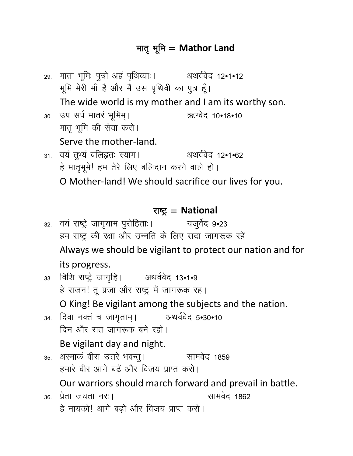## मातृ भूमि = Mathor Land

29. माता भूमिः पुत्रो अहं पृथिव्याः । अथर्ववेद 12•1•12 भूमि मेरी माँ है और मैं उस पृथिवी का पुत्र हूँ। The wide world is my mother and I am its worthy son. 30. उप सर्प मातरं भूमिम् । ऋग्वेद 10.18.10 मातृ भूमि की सेवा करो। Serve the mother-land. 31. वयं तुभ्यं बलिहृतः स्याम। अथर्ववेद १२•१•६२ हे मातृभूमे! हम तेरे लिए बलिदान करने वाले हो।

O Mother-land! We should sacrifice our lives for you.

### राष्ट्र = National

<sub>32.</sub> वयं राष्ट्रे जागृयाम पुरोहिताः। यजुर्वेद 9•23 हम राष्ट्र की रक्षा और उन्नति के लिए सदा जागरूक रहें। Always we should be vigilant to protect our nation and for its progress.

33. विशि राष्ट्रे जागृहि। अथर्ववेद 13•1•9 हे राजन! तू प्रजा और राष्ट्र में जागरूक रह। O King! Be vigilant among the subjects and the nation.

- 34. दिवा नक्तं च जागृताम् । अथर्ववेद 5.30.10 दिन और रात जागरूक बने रहो। Be vigilant day and night.
- 35. अस्माकं वीरा उत्तरे भवन्तु । सामवेद 1859 हमारे वीर आगे बढ़ें और विजय प्राप्त करो। Our warriors should march forward and prevail in battle. सामवेद 1862 36 प्रेता जयता नर:।
	- हे नायको! आगे बढ़ो और विजय प्राप्त करो।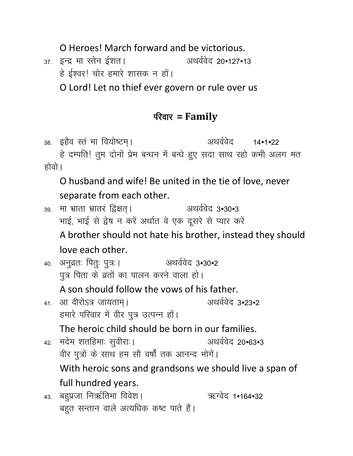O Heroes! March forward and be victorious.

37. इन्द्र मा स्तेन ईशत। अथर्ववेद 20•127•13 हे ईश्वर! चोर हमारे शासक न हों।

O Lord! Let no thief ever govern or rule over us

## फ्तिर = Family

38. इहैव स्त मा वियोष्टम। अथर्ववेद 14•1•22 हे दम्पति! तुम दोनों प्रेम बन्धन में बन्धे हुए सदा साथ रहो कभी अलग मत होवो ।

O husband and wife! Be united in the tie of love, never separate from each other.

39. मा भ्राता भ्रातरं द्विक्षत। अथर्ववेद ३•३०•३ भाई, भाई से द्वेष न करें अर्थात वे एक दूसरे से प्यार करें A brother should not hate his brother, instead they should

love each other.

अथर्ववेद 3.30.2 40. अनुव्रतः पितुः पुत्रः। पूत्र पिता के व्रतों का पालन करने वाला हो।

A son should follow the yows of his father.

अथर्ववेद 3.23.2 41. आ वीरोऽत्र जायताम् । हमारे परिवार में वीर पुत्र उत्पन्न हों।

The heroic child should be born in our families.

- अथर्ववेद 20•63•3 42. मदेम शतहिमाः सुवीराः । वीर पुत्रों के साथ हम सौ वर्षों तक आनन्द भोगें। With heroic sons and grandsons we should live a span of full hundred years.
- 43. बहुप्रजा निर्ऋतिमा विवेश। ऋग्वेद 1•164•32 बहुत सन्तान वाले अत्यधिक कष्ट पाते हैं।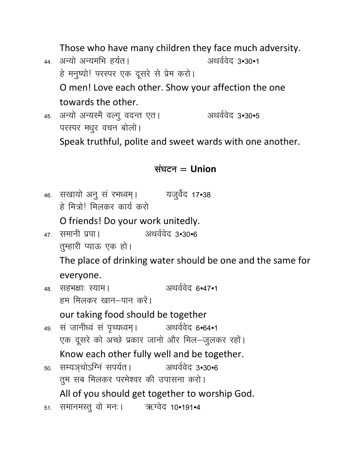Those who have many children they face much adversity.

44. अन्यो अन्यमभि हर्यत। अथर्ववेद 3.30.1 हे मनुष्यो! परस्पर एक दूसरे से प्रेम करो। O men! Love each other. Show your affection the one towards the other.

अथर्ववेद 3•30•5 45. अन्यो अन्यस्मै वल्गू वदन्त एत। परस्पर मधुर वचन बोलो।

Speak truthful, polite and sweet wards with one another.

## संघटन $=$  Union

46. सखायो अन् सं रभध्वम् । यजुर्वेद 17•38 हे मित्रो। मिलकर कार्य करो

O friends! Do your work unitedly.

- 47 समानी प्रपा। अथर्ववेद 3•30•6 तुम्हारी प्याऊ एक हो। The place of drinking water should be one and the same for everyone.
- अथर्ववेद 6.47.1 48. सहभक्षाः स्याम। हम मिलकर खान–पान करें। our taking food should be together
- 49. सं जानीध्वं सं पृच्यध्वम् । अथर्ववेद ६•६४•१ एक दूसरे को अच्छे प्रकार जानो और मिल-जुलकर रहों। Know each other fully well and be together.
- 50. सम्यञ्चोऽग्निं सपर्यत। अथर्ववेद 3.30.6 तुम सब मिलकर परमेश्वर की उपासना करो। All of you should get together to worship God.
- 51. समानमस्तु वो मनः । ऋग्वेद 10.191.4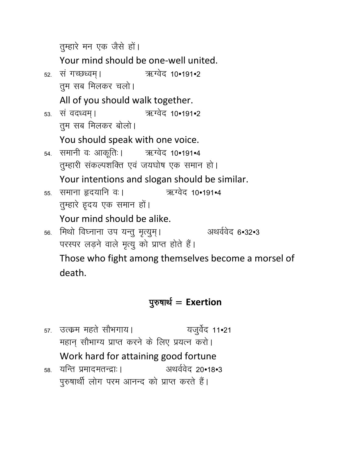तुम्हारे मन एक जैसे हों। Your mind should be one-well united. ऋग्वेद 10•191•2 52. सं गच्छध्वम्। तुम सब मिलकर चलो। All of you should walk together. ऋग्वेद 10•191•2 53. सं वदध्वम् । तुम सब मिलकर बोलो। You should speak with one voice. 54. समानी वः आकूतिः । ऋग्वेद 10•191•4 तुम्हारी संकल्पशक्ति एवं जयघोष एक समान हो। Your intentions and slogan should be similar. 55. समाना हृदयानि वः । ऋग्वेद 10•191•4 तुम्हारे हृदय एक समान हों। Your mind should be alike. अथर्ववेद 6.32.3 56. मिथो विघ्नाना उप यन्तु मृत्युम्। परस्पर लड़ने वाले मृत्यु को प्राप्त होते हैं। Those who fight among themselves become a morsel of

death.

# पुरुषार्थ = Exertion

57. उत्क्रम महते सौभगाय। यजुर्वेद 11•21 महान् सौभाग्य प्राप्त करने के लिए प्रयत्न करो। Work hard for attaining good fortune अथर्ववेद 20•18•3 58. यन्ति प्रमादमतन्द्राः ।

पुरुषार्थी लोग परम आनन्द को प्राप्त करते हैं।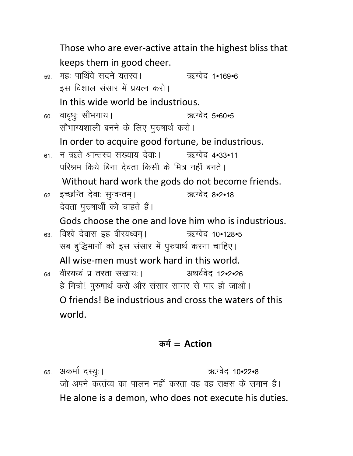Those who are ever-active attain the highest bliss that keeps them in good cheer. 59. महः पार्थिवे सदने यतस्व। 78. अध्येद 1.169.6 इस विशाल संसार में प्रयत्न करो। In this wide world be industrious. 60. वावृधुः सौभगाय। ऋग्वेद 5•60•5 सौभाग्यशाली बनने के लिए पुरुषार्थ करो। In order to acquire good fortune, be industrious. न ऋते श्रान्तस्य सख्याय देवाः। ऋग्वेद 4•33•11 61. परिश्रम किये बिना देवता किसी के मित्र नहीं बनते। Without hard work the gods do not become friends. 62. इच्छन्ति देवाः सुन्वन्तम् । ऋग्वेद 8.2.18 देवता पुरुषार्थी को चाहते हैं। Gods choose the one and love him who is industrious. ऋग्वेद 10•128•5 63. विश्वे देवास इह वीरयध्वम। सब बुद्धिमानों को इस संसार में पुरुषार्थ करना चाहिए। All wise-men must work hard in this world. अथर्ववेद 12.2.26 <sub>64.</sub> वीरयध्वं प्र तरता सखायः। हे मित्रो! पुरुषार्थ करो और संसार सागर से पार हो जाओ। O friends! Be industrious and cross the waters of this world.

## कर्म =  $Action$

65. अकर्मा दस्युः । ऋग्वेद 10•22•8 जो अपने कर्त्तव्य का पालन नहीं करता वह वह राक्षस के समान है। He alone is a demon, who does not execute his duties.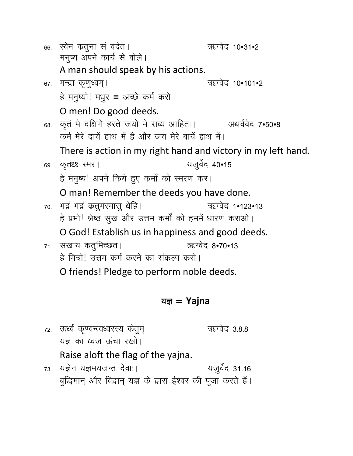|     | 66. स्वेन कतुना सं वदेत।<br>मनुष्य अपने कार्य से बोले।        | ऋग्वेद 10•31•2  |  |
|-----|---------------------------------------------------------------|-----------------|--|
|     | A man should speak by his actions.                            |                 |  |
|     | ६७. मन्द्रा कृणुध्वम्।                                        | ऋग्वेद 10•101•2 |  |
|     | हे मनुष्यो! मधुर = अच्छे कर्म करो।                            |                 |  |
|     | O men! Do good deeds.                                         |                 |  |
| 68. | कृत मे दक्षिणे हस्ते जयो मे सव्य आहितः।                       | अथर्ववेद 7•50•8 |  |
|     | कर्म मेरे दायें हाथ में है और जय मेरे बायें हाथ में।          |                 |  |
|     | There is action in my right hand and victory in my left hand. |                 |  |
|     | 69. कृतथ्थ स्मर                                               | यजुर्वेद 40•15  |  |
|     | हे मनुष्य! अपने किये हुए कर्मों को स्मरण कर।                  |                 |  |
|     | O man! Remember the deeds you have done.                      |                 |  |
|     | 70. भद्रं भद्रं कतुमस्मासु धेहि ।                             | ऋग्वेद 1•123•13 |  |
|     | हे प्रभो! श्रेष्ठ सुख और उत्तम कर्मों को हममें धारण कराओ।     |                 |  |
|     | O God! Establish us in happiness and good deeds.              |                 |  |
|     | 71. सखाय कर्तुमिच्छत।                                         | ऋग्वेद 8•70•13  |  |
|     | हे मित्रो! उत्तम कर्म करने का संकल्प करो।                     |                 |  |
|     | O friends! Pledge to perform noble deeds.                     |                 |  |
|     |                                                               |                 |  |

### यज्ञ = Yajna

72. ऊर्ध्वं कृण्वन्त्वध्वरस्य केतुम् ऋग्वेद 3.8.8 यज्ञ का ध्वज ऊंचा रखो। Raise aloft the flag of the yajna.

73. यज्ञेन यज्ञमयजन्त देवाः। यजुर्वेद 31.16 बुद्धिमान् और विद्वान् यज्ञ के द्वारा ईश्वर की पूजा करते हैं।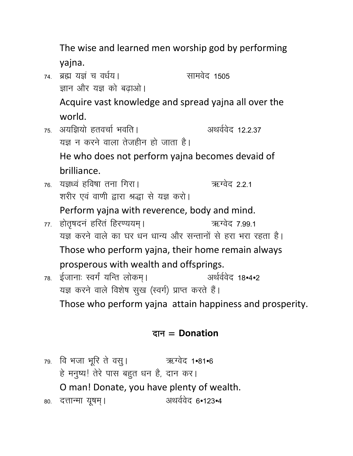The wise and learned men worship god by performing yajna.

74 ब्रह्म यज्ञं च वर्धय। सामवेद 1505 ज्ञान और यज्ञ को बढ़ाओ। Acquire vast knowledge and spread yajna all over the

world.

- 75. अयज्ञियो हतवर्चा भवति । अथर्ववेद 12.2.37 यज्ञ न करने वाला तेजहीन हो जाता है। He who does not perform yajna becomes devaid of brilliance.
- 76. यज्ञध्वं हविषा तना गिरा। ऋग्वेद 2.2.1 शरीर एवं वाणी द्वारा श्रद्धा से यज्ञ करो।

Perform yajna with reverence, body and mind.

- ऋग्वेद 7.99.1 77. होतृषदनं हरितं हिरण्ययम् । यज्ञ करने वाले का घर धन धान्य और सन्तानों से हरा भरा रहता है। Those who perform yajna, their home remain always prosperous with wealth and offsprings.
- 78. ईजानाः स्वर्गं यन्ति लोकम्। अर्थर्ववेद 18.4.2 यज्ञ करने वाले विशेष सुख (स्वर्ग) प्राप्त करते हैं। Those who perform yajna attain happiness and prosperity.

## दान = Donation

79. वि भजा भरि ते वस् । 2008 अध्येद 1.81.6 हे मनुष्य! तेरे पास बहुत धन है, दान कर। O man! Donate, you have plenty of wealth. अथर्ववेद 6•123•4 80. दत्तान्मा यूषम् ।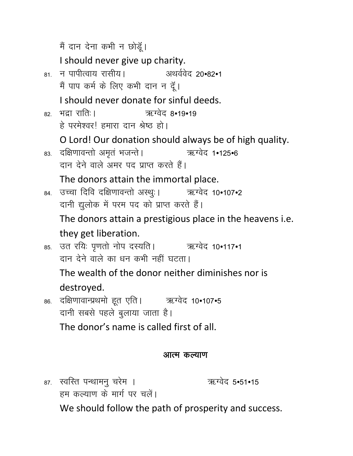मैं दान देना कभी न छोडूँ।

I should never give up charity.

<sub>81</sub> न पापीत्वाय रासीय। अथर्ववेद 20•82•1 मैं पाप कर्म के लिए कभी दान न दूँ।

I should never donate for sinful deeds.

82. भद्रा राति: । ऋग्वेद 8•19•19 हे परमेश्वर! हमारा दान श्रेष्ठ हो।

O Lord! Our donation should always be of high quality.

83. दक्षिणावन्तो अमृतं भजन्ते । ऋग्वेद 1.125.6 दान देने वाले अमर पद प्राप्त करते हैं।

The donors attain the immortal place.

84. उच्चा दिवि दक्षिणावन्तो अस्थुः । 38. अध्येद 10.107.2 दानी द्युलोक में परम पद को प्राप्त करते हैं।

The donors attain a prestigious place in the heavens *i.e.* they get liberation.

85. उत रयिः पृणतो नोप दस्यति । 38. अध्येद 10.117.1 दान देने वाले का धन कभी नहीं घटता।

The wealth of the donor neither diminishes nor is destroyed.

86. दक्षिणावान्प्रथमो हूत एति । ऋग्वेद 10.107.5 दानी सबसे पहले बुलाया जाता है। The donor's name is called first of all.

### आत्म कल्याण

87. स्वस्ति पन्थामनु चरेम । हम कल्याण के मार्ग पर चलें।

ऋग्वेद 5.51.15

We should follow the path of prosperity and success.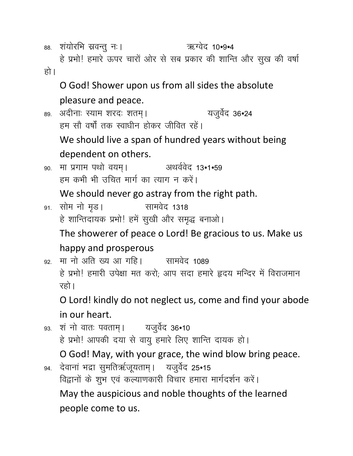88. शंयोरभि स्रवन्तु नः । ऋग्वेद 10.9.4

हे प्रभो! हमारे ऊपर चारों ओर से सब प्रकार की शान्ति और सुख की वर्षा हो ।

O God! Shower upon us from all sides the absolute pleasure and peace.

89. अदीनाः स्याम शरदः शतम्। यजुर्वेद 36.24 हम सौ वर्षों तक स्वाधीन होकर जीवित रहें। We should live a span of hundred years without being dependent on others.

90. मा प्रगाम पथो वयम्। अथर्ववेद 13•1•59 हम कभी भी उचित मार्ग का त्याग न करें।

We should never go astray from the right path.

<sub>91.</sub> सोम नो मृड। सामवेद 1318 हे शान्तिदायक प्रभो! हमें सुखी और समृद्ध बनाओ। The showerer of peace o Lord! Be gracious to us. Make us happy and prosperous

92. मा नो अति ख्य आ गहि। सामवेद 1089 हे प्रभो! हमारी उपेक्षा मत करो; आप सदा हमारे हृदय मन्दिर में विराजमान रहो।

O Lord! kindly do not neglect us, come and find your abode in our heart.

93. शं नो वातः पवताम् । यजुर्वेद 36.10 हे प्रभो! आपकी दया से वायु हमारे लिए शान्ति दायक हो। O God! May, with your grace, the wind blow bring peace. 94. देवानां भद्रा सुमतिर्ऋजूयताम् । यजुर्वेद 25•15 विद्वानों के शुभ एवं कल्याणकारी विचार हमारा मार्गदर्शन करें। May the auspicious and noble thoughts of the learned people come to us.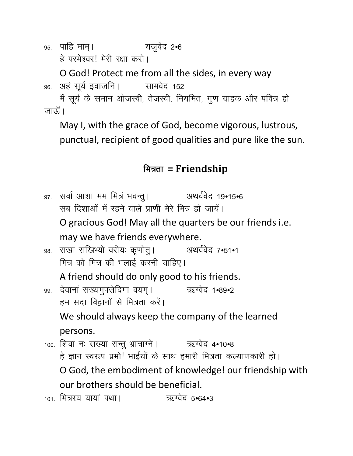95. पाहि माम् । यजुर्वेद 2•6 हे परमेश्वर! मेरी रक्षा करो।

O God! Protect me from all the sides, in every way ९६. अहं सूर्य इवाजनि। सामवेद 152

मैं सूर्य के समान ओजस्वी, तेजस्वी, नियमित, गुण ग्राहक और पवित्र हो जारुँ ।

May I, with the grace of God, become vigorous, lustrous, punctual, recipient of good qualities and pure like the sun.

# मित्रता = Friendship

97. सर्वा आशा मम मित्रं भवन्तु । अथर्ववेद 19•15•6 सब दिशाओं में रहने वाले प्राणी मेरे मित्र हो जायें। O gracious God! May all the quarters be our friends i.e.

may we have friends everywhere.

९८. सखा सखिभ्यो वरीयः कृणोत् । अथर्ववेद 7•51•1 मित्र को मित्र की भलाई करनी चाहिए।

A friend should do only good to his friends.

99. देवानां सख्यमुपसेदिमा वयम् । 2007 ऋग्वेद 1.89.2 हम सदा विद्वानों से मित्रता करें।

We should always keep the company of the learned persons.

- 100. शिवा नः सख्या सन्तु भ्रात्राग्ने। 32. अध्येद 4.10.8 हे ज्ञान स्वरूप प्रभो! भाईयों के साथ हमारी मित्रता कल्याणकारी हो। O God, the embodiment of knowledge! our friendship with our brothers should be beneficial.
- 101. मित्रस्य यायां पथा। 101. ऋग्वेद 5.64.3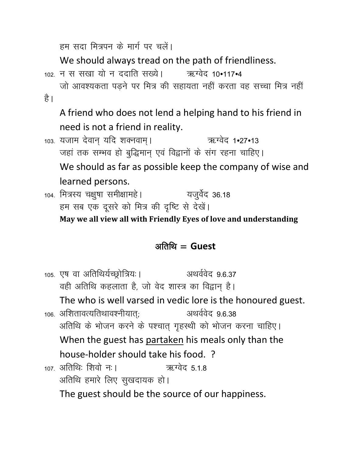हम सदा मित्रपन के मार्ग पर चलें।

We should always tread on the path of friendliness.

102 न स सखा यो न ददाति सख्ये। 2017-24

जो आवश्यकता पडने पर मित्र की सहायता नहीं करता वह सच्चा मित्र नहीं है ।

A friend who does not lend a helping hand to his friend in need is not a friend in reality.

103. यजाम देवान् यदि शक्नवाम् । ऋग्वेद 1.27.13 जहां तक सम्भव हो बुद्धिमान् एवं विद्वानों के संग रहना चाहिए।

We should as far as possible keep the company of wise and learned persons.

104. मित्रस्य चक्षुषा समीक्षामहे। यजुर्वेद 36.18 हम सब एक दूसरे को मित्र की दृष्टि से देखें।

**May we all view all with Friendly Eyes of love and understanding**

### $\partial \mathbf{r} = \mathbf{G} \mathbf{u} \mathbf{e} \mathbf{S} \mathbf{t}$

105. एष वा अतिथिर्यच्छ्रोत्रियः । अथर्ववेद 9.6.37 वही अतिथि कहलाता है, जो वेद शास्त्र का विद्वान् है। The who is well varsed in vedic lore is the honoured guest.  $_{106.}$  अशितावत्यतिथावश्नीयात; अथर्ववेद 9.6.38 अतिथि के भोजन करने के पश्चात् गृहस्थी को भोजन करना चाहिए। When the guest has partaken his meals only than the house-holder should take his food. ? 107 अतिथि: शिवो न: । ऋग्वेद 518 अतिथि हमारे लिए सुखदायक हो। The guest should be the source of our happiness.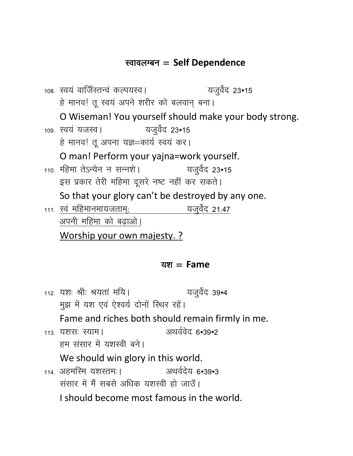### **स्वावलम्बन = Self Dependence**

108. स्वयं वाजिँस्तन्वं कल्पयस्व। यजुर्वेद 23•15 हे मानव! तू स्वयं अपने शरीर को बलवान् बना। O Wiseman! You yourself should make your body strong. 109. स्वयं यजस्व। यजुर्वेद 23•15 हे मानव! तू अपना यज्ञ=कार्य स्वयं कर। O man! Perform your yajna=work yourself.  $110.$  महिमा तेऽन्येन न सन्नशे |  $10.$  यजुर्वेद 23•15 इस प्रकार तेरी महिमा दूसरे नष्ट नहीं कर सकते। So that your glory can't be destroyed by any one.  $_{111.}$  स्वं महिमानमायजताम;  $_{21.47.}$  यजुर्वेद 21.47 अपनी महिमा को बढाओ। Worship your own majesty. ?

#### <u>यश = Fame</u>

112. यश: श्री: श्रयतां मयि। यजुर्वेद 39•4 मुझ में यश एवं ऐश्वर्य दोनों स्थिर रहे। Fame and riches both should remain firmly in me. 113 यशस: स्याम। अथर्ववेद ६•३९•२ हम संसार में यशस्वी बने। We should win glory in this world.  $114$  अहमरिम यशस्तम: । अथर्वदेय ६•३९•३ संसार में मैं सबसे अधिक यशस्वी हो जाउँ। I should become most famous in the world.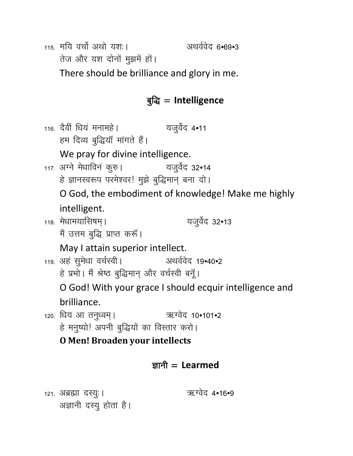115 मयि वर्चा अथो यश:।

अथर्ववेद 6.69.3

तेज और यश दोनों मुझमें हों।

There should be brilliance and glory in me.

# बुद्धि = Intelligence

116. देवीं धियं मनामहे । यजुर्वेद 4•11 हम दिव्य बुद्धियॉ मांगते हैं। We pray for divine intelligence. 117. अग्ने मेधाविनं कुरु। यजुर्वेद 32•14 हे ज्ञानस्वरूप परमेश्वर! मुझे बुद्धिमान् बना दो। O God, the embodiment of knowledge! Make me highly intelligent. 118. मेधामयासिषम । यजुर्वेद 32•13 मैं उत्तम बुद्धि प्राप्त करूँ। May I attain superior intellect. अथर्ववेद 19•40•2 119. अहं सुमेधा वर्चस्वी। हे प्रभो। मैं श्रेष्ठ बुद्धिमान् और वर्चस्वी बनूँ। O God! With your grace I should ecquir intelligence and brilliance. 120. धिय आ तनुध्वम् । ऋग्वेद 10•101•2 हे मनुष्यो! अपनी बुद्धियों का विस्तार करो। **O Men! Broaden your intellects** 

## ज्ञानी  $=$  Learmed

121. अब्रह्मा दस्युः ।

ऋग्वेद 4•16•9

अज्ञानी दस्यु होता है।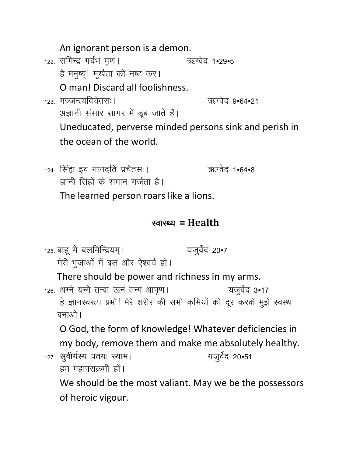An ignorant person is a demon. 122. समिन्द्र गर्दभं मृण। ऋग्वेद 1•29•5 हे मनुष्य्! मूर्खता को नष्ट कर। O man! Discard all foolishness. 123 मज्जन्त्यविचेतस: । ऋग्वेद 9•64•21 अज्ञानी संसार सागर में डूब जाते हैं। Uneducated, perverse minded persons sink and perish in the ocean of the world.

124. सिंहा इव नानदति प्रचेतसः। ऋग्वेद 1•64•8 ज़ानी सिंहों के समान गर्जता है। The learned person roars like a lions.

### स्वास्थ्य = Health

125. बाहू मे बलमिन्द्रियम् । यजुर्वेद 20•7 मेरी भुजाओं में बल और ऐश्वर्य हो। There should be power and richness in my arms. 126. अग्ने यन्मे तन्वा ऊनं तन्म आपृण। यजुर्वेद 3•17 हे ज्ञानस्वरूप प्रभो! मेरे शरीर की सभी कमियों को दूर करके मुझे स्वस्थ बनाओ। O God, the form of knowledge! Whatever deficiencies in my body, remove them and make me absolutely healthy. 127. सुवीर्यस्य पतयः स्याम। यजुर्वेद 20•51 हम महापराक्रमी हों। We should be the most valiant. May we be the possessors of heroic vigour.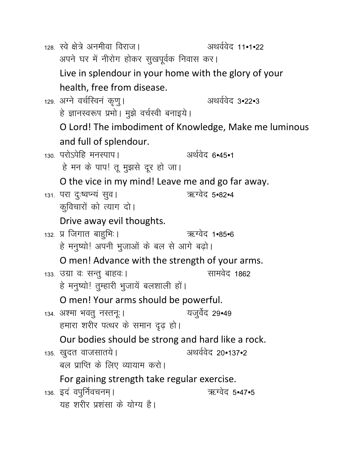128. स्वे क्षेत्रे अनमीवा विराज। अथर्ववेद 11•1•22 अपने घर में नीरोग होकर सुखपूर्वक निवास कर। Live in splendour in your home with the glory of your health, free from disease. 129. अग्ने वर्चस्विनं कृणु। अथर्ववेद 3.22.3 हे ज्ञानस्वरूप प्रभो। मुझे वर्चस्वी बनाइये। O Lord! The imbodiment of Knowledge, Make me luminous and full of splendour. 130. परोऽपेहि मनस्पाप। अर्थवेद 6.45.1 हे मन के पाप! तू मुझसे दूर हो जा। O the vice in my mind! Leave me and go far away. ऋग्वेद 5.82.4 131. परा दुःष्वप्न्यं सूव। कुविचारों को त्याग दो। Drive away evil thoughts. 132. प्र जिगात बाहभिः । ऋग्वेद 1•85•6 हे मनुष्यो! अपनी भुजाओं के बल से आगे बढ़ो। O men! Advance with the strength of your arms. सामवेद 1862 133. उग्रा वः सन्तु बाहवः । हे मनुष्यो! तुम्हारी भुजायें बलशाली हों। O men! Your arms should be powerful. यजुर्वेद 29•49 134. अश्मा भवत् नस्तन्ः । हमारा शरीर पत्थर के समान दृढ़ हो। Our bodies should be strong and hard like a rock. 135. खुदत वाजसातये। अथर्ववेद 20•137•2 बल प्राप्ति के लिए व्यायाम करो। For gaining strength take regular exercise. ऋग्वेद 5.47.5 136. इदं वपूर्निवचनम् । यह शरीर प्रशंसा के योग्य है।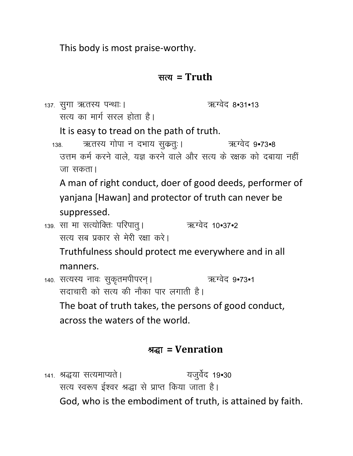This body is most praise-worthy.

### सत्य =  $T$ ruth

|  | 137. सुगा ऋतस्य पन्थाः।                                                                        | ऋग्वेद 8•31•13 |  |
|--|------------------------------------------------------------------------------------------------|----------------|--|
|  | सत्य का मार्ग सरल होता है।                                                                     |                |  |
|  | It is easy to tread on the path of truth.                                                      |                |  |
|  | ऋतस्य गोपा न दभाय सुकतुः।<br>138.                                                              | ऋग्वेद ९:73:8  |  |
|  | उत्तम कर्म करने वाले, यज्ञ करने वाले और सत्य के रक्षक को दबाया नहीं                            |                |  |
|  | जा सकता।                                                                                       |                |  |
|  | A man of right conduct, doer of good deeds, performer of                                       |                |  |
|  | yanjana [Hawan] and protector of truth can never be                                            |                |  |
|  | suppressed.                                                                                    |                |  |
|  | <sub>139.</sub> सा मा सत्योक्तिः परिपात् ।                                                     | ऋग्वेद 10•37•2 |  |
|  | सत्य सब प्रकार से मेरी रक्षा करे।                                                              |                |  |
|  | Truthfulness should protect me everywhere and in all                                           |                |  |
|  | manners.                                                                                       |                |  |
|  | 140. सत्यस्य नावः सुकृतमपीपरन् ।                                                               | ऋग्वेद 9•73•1  |  |
|  | सदाचारी को सत्य की नौका पार लगाती है।<br>The boat of truth takes, the persons of good conduct, |                |  |
|  |                                                                                                |                |  |
|  | across the waters of the world.                                                                |                |  |
|  |                                                                                                |                |  |
|  |                                                                                                |                |  |

# श्रद्धा = Venration

141. श्रद्धया सत्यमाप्यते । यजुर्वेद 19•30 सत्य स्वरूप ईश्वर श्रद्धा से प्राप्त किया जाता है। God, who is the embodiment of truth, is attained by faith.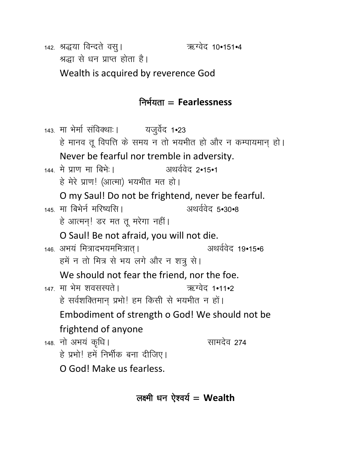142. श्रद्धया विन्दते वसु।

ऋग्वेद 10•151•4

श्रद्धा से धन प्राप्त होता है।

Wealth is acquired by reverence God

## निर्भयता $=$  Fearlessness

143. मा भेर्मा संविक्थाः। यजुर्वेद 1•23 हे मानव तू विपत्ति के समय न तो भयभीत हो और न कम्पायमान् हो। Never be fearful nor tremble in adversity. 144 में प्राण मा बिभे:। अथर्ववेद २•१५•१ हे मेरे प्राण! (आत्मा) भयभीत मत हो। O my Saul! Do not be frightend, never be fearful. 145 मा बिभेर्न मरिष्यसि । अथर्ववेद 5.30.8 हे आत्मन्! डर मत तू मरेगा नहीं। O Saul! Be not afraid, you will not die. 146. अभयं मित्रादभयममित्रात् । अथर्ववेद 19•15•6 हमें न तो मित्र से भय लगे और न शत्रु से। We should not fear the friend, nor the foe. 147. मा भेम शवसस्पते । ऋग्वेद 1•11•2 हे सर्वशक्तिमान् प्रभो! हम किसी से भयभीत न हों। Embodiment of strength o God! We should not be frightend of anyone 148. नो अभय कृधि। सामदेव 274 हे प्रभो! हमें निर्भीक बना दीजिए। O God! Make us fearless.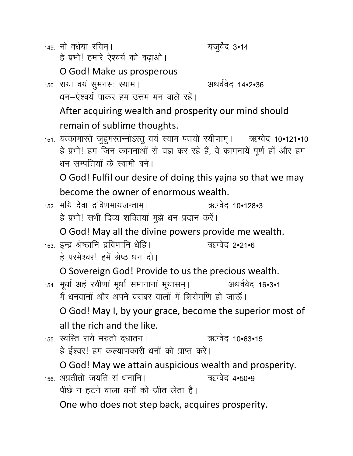149. नो वर्धया रयिम। हे प्रभो! हमारे ऐश्वर्य को बढ़ाओ। यजुर्वेद 3•14

O God! Make us prosperous

150. राया वयं सुमनसः स्याम। अथर्ववेद 14.2.36 धन-ऐश्वर्य पाकर हम उत्तम मन वाले रहें।

After acquiring wealth and prosperity our mind should remain of sublime thoughts.

151. यत्कामास्ते जुहुमस्तन्नोऽस्तु वयं स्याम पतयो रयीणाम् । अद्यग्वेद 10•121•10 हे प्रभो! हम जिन कामनाओं से यज्ञ कर रहे हैं, वे कामनायें पूर्ण हों और हम धन सम्पत्तियों के स्वामी बने।

O God! Fulfil our desire of doing this yajna so that we may become the owner of enormous wealth.

152. मयि देवा द्रविणमायजन्ताम् । ऋग्वेद 10•128•3 हे प्रभो! सभी दिव्य शक्तियां मुझे धन प्रदान करें।

O God! May all the divine powers provide me wealth.

153. इन्द्र श्रेष्ठानि द्रविणानि धेहि। ऋग्वेद 2•21•6 हे परमेश्वर। हमें श्रेष्ठ धन दो।

O Sovereign God! Provide to us the precious wealth.

154. मूर्धा अहं रयीणां मूर्धा समानानां भूयासम् । अथर्ववेद 16.3.1 मैं धनवानों और अपने बराबर वालों में शिरोमणि हो जाऊँ।

O God! May I, by your grace, become the superior most of all the rich and the like.

155. स्वस्ति राये मरुतो दधातन। ऋग्वेद 10•63•15 हे ईश्वर! हम कल्याणकारी धनों को प्राप्त करें।

O God! May we attain auspicious wealth and prosperity.

156, अप्रतीतो जयति सं धनानि । ऋग्वेद 4•50•9

पीछे न हटने वाला धनों को जीत लेता है।

One who does not step back, acquires prosperity.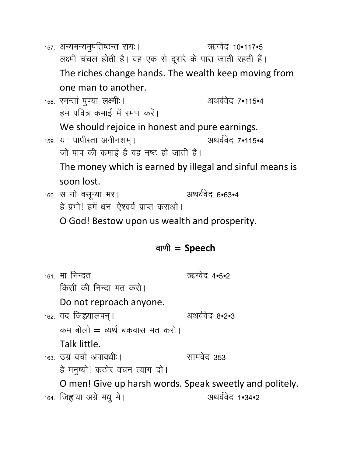```
ऋग्वेद 10.117.5
157. अन्यमन्यमुपतिष्ठन्त रायः।
    लक्ष्मी चंचल होती है। वह एक से दूसरे के पास जाती रहती हैं।
    The riches change hands. The wealth keep moving from
    one man to another.
158. रमन्तां पुण्या लक्ष्मी ।
                                           अथर्ववेद 7•115•4
    हम पवित्र कमाई में रमण करें।
    We should rejoice in honest and pure earnings.
159. याः पापीस्ता अनीनशम् ।
                                           अथर्ववेद 7•115•4
    जो पाप की कमाई है वह नष्ट हो जाती है।
    The money which is earned by illegal and sinful means is
    soon lost.
160. स नो वसून्या भर।
                                      अथर्ववेद ६•६३•४
    हे प्रभो! हमें धन-ऐश्वर्य प्राप्त कराओ।
    O God! Bestow upon us wealth and prosperity.
```
### वाणी  $=$  Speech

<sub>161</sub> मा निन्दत । ऋग्वेट 4•5•2 किसी की निन्दा मत करो। Do not reproach anyone. अथर्ववेद 8.2.3 162. वद जिह्वयालपन् । कम बोलो = व्यर्थ बकवास मत करो। Talk little. 163 उग्र वचो अपावधी । सामवेद ३५३ हे मनृष्यो! कठोर वचन त्याग दो। O men! Give up harsh words. Speak sweetly and politely. 164. जिह्वाया अग्रे मधु मे। अथर्ववेद 1.34.2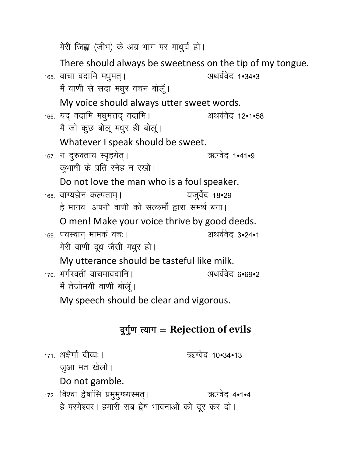मेरी जिह्वा (जीभ) के अग्र भाग पर माधुर्य हो।

There should always be sweetness on the tip of my tongue. अथर्ववेद 1.34.3 165. वाचा वदामि मधुमत् । मैं वाणी से सदा मधुर वचन बोलूँ। My voice should always utter sweet words. 166. यद् वदामि मधुमत्तद् वदामि। अथर्ववेद 12•1•58 मैं जो कुछ बोलू मधुर ही बोलू। Whatever I speak should be sweet. 167. न दुरुक्ताय स्पृहयेत्। ऋग्वेद 1.41.9 कुभाषी के प्रति स्नेह न रखों। Do not love the man who is a foul speaker. 168. वाग्यज्ञेन कल्पताम् । यजुर्वेद 18•29 हे मानव! अपनी वाणी को सत्कर्मों द्वारा समर्थ बना। O men! Make your voice thrive by good deeds. अथर्ववेद 3.24.1 169. पयस्वान मामकं वचः | मेरी वाणी दूध जैसी मधुर हो। My utterance should be tasteful like milk. 170 भर्गस्वतीं वाचमावदानि । अथर्ववेद ६•६९•२ मैं तेजोमयी वाणी बोलूँ। My speech should be clear and vigorous.

## दुर्गुण त्याग = Rejection of evils

171. अक्षैर्मा दीव्यः | ऋग्वेद 10•34•13 जुआ मत खेलो। Do not gamble. 172. विश्वा द्वेषांसि प्रमुमुग्ध्यस्मत् । ऋग्वेद 4•1•4 हे परमेश्वर। हमारी सब द्वेष भावनाओं को दूर कर दो।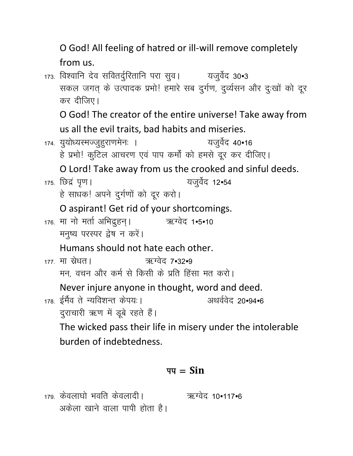O God! All feeling of hatred or ill-will remove completely from us.

173. विश्वानि देव सवितर्दुरितानि परा सुव। यजुर्वेद 30•3 सकल जगत् के उत्पादक प्रभो! हमारे सब दुर्गण, दुर्व्यसन और दुःखों को दूर कर दीजिए। O God! The creator of the entire universe! Take away from us all the evil traits, bad habits and miseries. 174. युयोध्यरमज्जुहूराणमेनः । यजुर्वेद 40•16 हे प्रभो! कुटिल आचरण एवं पाप कर्मों को हमसे दूर कर दीजिए। O Lord! Take away from us the crooked and sinful deeds. यजुर्वेद 12•54 175. छिद्रं पृण । हे साधक! अपने दुर्गणों को दूर करो। O aspirant! Get rid of your shortcomings. 176. मा नो मर्ता अभिदुहन्। ऋग्वेद 1•5•10 मनुष्य परस्पर द्वेष न करें। Humans should not hate each other. 177 मा स्रेधत। ऋग्वेद 7•32•9 मन, वचन और कर्म से किसी के प्रति हिंसा मत करो। Never injure anyone in thought, word and deed. 178. ईमैव ते न्यविशन्त केपयः। अथर्ववेद 20.94.6 दुराचारी ऋण में डूबे रहते हैं। The wicked pass their life in misery under the intolerable burden of indebtedness.

### $\overline{q} = \overline{\text{Sin}}$

179. केवलाघो भवति केवलादी। 2011 - अध्येद 10.117.6 अकेला खाने वाला पापी होता है।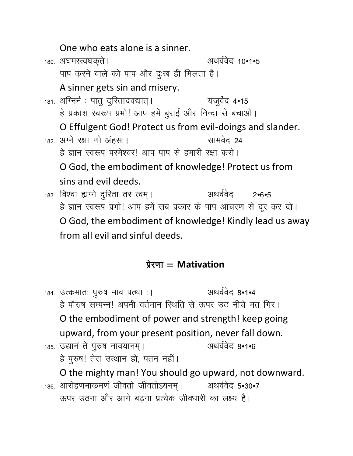One who eats alone is a sinner.

180. अघमस्त्वघकृते । अथर्ववेद 10•1•5 पाप करने वाले को पाप और दुःख ही मिलता है। A sinner gets sin and misery. 181. अग्निर्न: पात् दुरितादवद्यात्। यजुर्वेद 4•15 हे प्रकाश स्वरूप प्रभो! आप हमें बुराई और निन्दा से बचाओ। O Effulgent God! Protect us from evil-doings and slander. 182. अग्ने रक्षा णो अहस: । सामवेद 24 हे ज्ञान स्वरूप परमेश्वर। आप पाप से हमारी रक्षा करो। O God, the embodiment of knowledge! Protect us from sins and evil deeds. 183. विश्वा ह्यग्ने दुरिता तर त्वम्। अथर्ववेद  $2 - 6 - 5$ हे ज्ञान स्वरूप प्रभो! आप हमें सब प्रकार के पाप आचरण से दूर कर दो।

O God, the embodiment of knowledge! Kindly lead us away from all evil and sinful deeds.

## $\overline{2}$   $\overline{2}$   $\overline{2}$   $\overline{2}$   $\overline{2}$   $\overline{2}$   $\overline{2}$   $\overline{2}$   $\overline{2}$   $\overline{2}$   $\overline{2}$   $\overline{2}$   $\overline{2}$   $\overline{2}$   $\overline{2}$   $\overline{2}$   $\overline{2}$   $\overline{2}$   $\overline{2}$   $\overline{2}$   $\overline{2}$   $\overline{2}$   $\overline{2}$   $\overline{2}$   $\overline{$

अथर्ववेद 8•1•4 184. उत्कमातः पुरुष माव पत्था :। हे पौरुष सम्पन्न<sup>।</sup> अपनी वर्तमान स्थिति से ऊपर उठ नीचे मत गिर। O the embodiment of power and strength! keep going upward, from your present position, never fall down. अथर्ववेद ८•1•6 185. उद्यानं ते पुरुष नावयानम् । हे पुरुष! तेरा उत्थान हो, पतन नहीं। O the mighty man! You should go upward, not downward.

186. आरोहणमाकमणं जीवतो जीवतोऽयनम् । अथर्ववेद 5•30•7 ऊपर उठना और आगे बढना प्रत्येक जीवधारी का लक्ष्य है।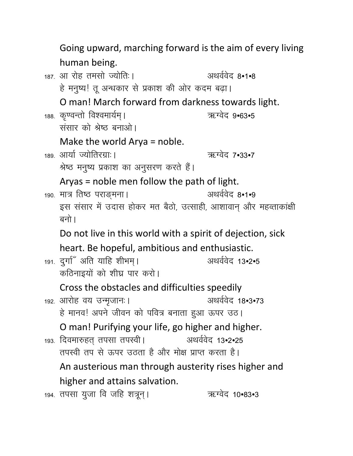Going upward, marching forward is the aim of every living human being.

187 आ रोह तमसो ज्योति:। अथर्ववेद 8.1.8 हे मनुष्य! तू अन्धकार से प्रकाश की ओर कदम बढ़ा। O man! March forward from darkness towards light. 188. कृण्वन्तो विश्वमार्यम् । ऋग्वेद 9.63.5 संसार को श्रेष्ठ बनाओ। Make the world  $Arya = noble$ . 189. आर्या ज्योतिरग्राः । ऋग्वेद 7•33•7 श्रेष्ठ मनुष्य प्रकाश का अनुसरण करते हैं। Aryas = noble men follow the path of light. अथर्ववेद 8•1•9 190. मात्र तिष्ठ पराङ्मना । इस संसार में उदास होकर मत बैठो, उत्साही, आशावान् और महव्ताकांक्षी बनो। Do not live in this world with a spirit of dejection, sick heart. Be hopeful, ambitious and enthusiastic. 191. दुर्गा अंति याहि शीभम् । अथर्ववेद 13.2.5 कठिनाइयों को शीघ्र पार करो। Cross the obstacles and difficulties speedily अथर्ववेद 18.3.73 192. आरोह वय उन्मुजानः | हे मानव! अपने जीवन को पवित्र बनाता हुआ ऊपर उठ। O man! Purifying your life, go higher and higher. 193. दिवमारुहत् तपसा तपस्वी। अथर्ववेद 13.2.25 तपस्वी तप से ऊपर उठता है और मोक्ष प्राप्त करता है। An austerious man through austerity rises higher and higher and attains salvation. 194. तपसा युजा वि जहि शत्रून्। ऋग्वेद 10•83•3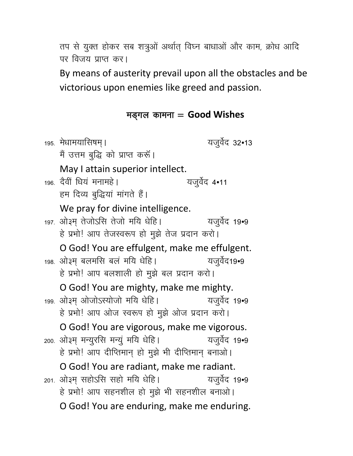तप से युक्त होकर सब शत्रुओं अर्थात् विघ्न बाधाओं और काम, क्रोध आदि पर विजय प्राप्त कर।

By means of austerity prevail upon all the obstacles and be victorious upon enemies like greed and passion.

### मड़गल कामना =  $Good Wishes$

यजुर्वेद 32•13 195. मेधामयासिषम् । मैं उत्तम बुद्धि को प्राप्त करूँ। May I attain superior intellect. 196 देवी धियं मनामहे। यजुर्वेद 4•11 हम दिव्य बुद्धियां मांगते हैं। We pray for divine intelligence. 197. ओ३म तेजोऽसि तेजो मयि धेहि। यजुर्वेद 19•9 हे प्रभो! आप तेजस्वरूप हो मुझे तेज प्रदान करो। O God! You are effulgent, make me effulgent. 198. ओ३म् बलमसि बलं मयि धेहि। यजुर्वेद19•9 हे प्रभो! आप बलशाली हो मुझे बल प्रदान करो। O God! You are mighty, make me mighty. 199. ओ३म ओजोऽस्योजो मयि धेहि। यजुर्वेद 19•9 हे प्रभो! आप ओज स्वरूप हो मुझे ओज प्रदान करो। O God! You are vigorous, make me vigorous. 200. ओ३म् मन्युरसि मन्युं मयि धेहि। यजुर्वेद 19•9 हे प्रभो! आप दीप्तिमान् हो मुझे भी दीप्तिमान् बनाओ। O God! You are radiant, make me radiant. 201. ओ३म सहोऽसि सहो मयि धेहि। यजुर्वेद 19•9 हे प्रभो! आप सहनशील हो मुझे भी सहनशील बनाओ। O God! You are enduring, make me enduring.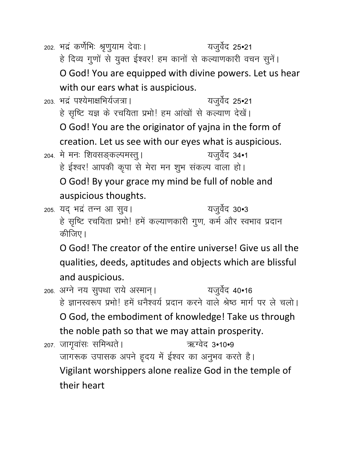202. भद्रं कर्णेभिः श्रृणुयाम देवाः । यजुर्वेद 25•21 हे दिव्य गुणों से युक्त ईश्वर! हम कानों से कल्याणकारी वचन सुने। O God! You are equipped with divine powers. Let us hear with our ears what is auspicious. 203. भद्रं पश्येमाक्षभिर्यजत्रा । यजुर्वेद 25•21 हे सृष्टि यज्ञ के रचयिता प्रभो! हम आंखों से कल्याण देखें। O God! You are the originator of yajna in the form of creation. Let us see with our eyes what is auspicious. यजुर्वेद 34•1 204. मे मनः शिवसङ्कल्पमस्तु। हे ईश्वर! आपकी कृपा से मेरा मन शुभ संकल्प वाला हो। O God! By your grace my mind be full of noble and auspicious thoughts. 205. यद भद्र तन्न आ सूव। यजुर्वेद 30•3 हे सृष्टि रचयिता प्रभो! हमें कल्याणकारी गुण, कर्म और स्वभाव प्रदान कीजिए। O God! The creator of the entire universe! Give us all the qualities, deeds, aptitudes and objects which are blissful and auspicious. 206. अग्ने नय सुपथा राये अस्मान् । यजुर्वेद 40.16 हे ज्ञानस्वरूप प्रभो! हमें धनैश्वर्य प्रदान करने वाले श्रेष्ठ मार्ग पर ले चलो। O God, the embodiment of knowledge! Take us through the noble path so that we may attain prosperity. ऋग्वेद 3•10•9 207. जागृवासः समिन्धते । जागरूक उपासक अपने हृदय में ईश्वर का अनुभव करते है। Vigilant worshippers alone realize God in the temple of their heart